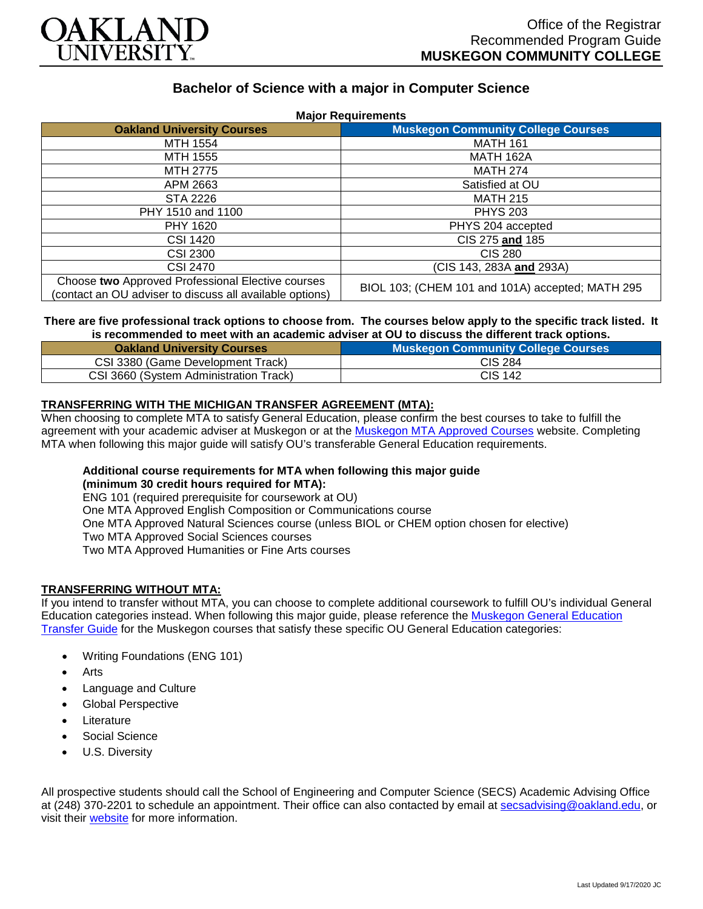

# **Bachelor of Science with a major in Computer Science**

| <b>Major Requirements</b>                                                                                     |                                                  |
|---------------------------------------------------------------------------------------------------------------|--------------------------------------------------|
| <b>Oakland University Courses</b>                                                                             | <b>Muskegon Community College Courses</b>        |
| MTH 1554                                                                                                      | <b>MATH 161</b>                                  |
| MTH 1555                                                                                                      | <b>MATH 162A</b>                                 |
| MTH 2775                                                                                                      | <b>MATH 274</b>                                  |
| APM 2663                                                                                                      | Satisfied at OU                                  |
| <b>STA 2226</b>                                                                                               | <b>MATH 215</b>                                  |
| PHY 1510 and 1100                                                                                             | <b>PHYS 203</b>                                  |
| PHY 1620                                                                                                      | PHYS 204 accepted                                |
| <b>CSI 1420</b>                                                                                               | CIS 275 and 185                                  |
| <b>CSI 2300</b>                                                                                               | CIS 280                                          |
| CSI 2470                                                                                                      | (CIS 143, 283A and 293A)                         |
| Choose two Approved Professional Elective courses<br>(contact an OU adviser to discuss all available options) | BIOL 103; (CHEM 101 and 101A) accepted; MATH 295 |

### **There are five professional track options to choose from. The courses below apply to the specific track listed. It is recommended to meet with an academic adviser at OU to discuss the different track options.**

| <b>Oakland University Courses</b>      | <b>Muskegon Community College Courses</b> |
|----------------------------------------|-------------------------------------------|
| CSI 3380 (Game Development Track)      | <b>CIS 284</b>                            |
| CSI 3660 (System Administration Track) | <b>CIS 142</b>                            |

### **TRANSFERRING WITH THE MICHIGAN TRANSFER AGREEMENT (MTA):**

When choosing to complete MTA to satisfy General Education, please confirm the best courses to take to fulfill the agreement with your academic adviser at Muskegon or at the [Muskegon MTA Approved Courses](https://www.muskegoncc.edu/transferservices/michigan-transfer-agreement/) website. Completing MTA when following this major guide will satisfy OU's transferable General Education requirements.

# **Additional course requirements for MTA when following this major guide**

**(minimum 30 credit hours required for MTA):**

ENG 101 (required prerequisite for coursework at OU)

One MTA Approved English Composition or Communications course

One MTA Approved Natural Sciences course (unless BIOL or CHEM option chosen for elective)

Two MTA Approved Social Sciences courses

Two MTA Approved Humanities or Fine Arts courses

### **TRANSFERRING WITHOUT MTA:**

If you intend to transfer without MTA, you can choose to complete additional coursework to fulfill OU's individual General Education categories instead. When following this major guide, please reference the [Muskegon General Education](https://www.oakland.edu/Assets/Oakland/program-guides/muskegon-community-college/university-general-education-requirements/Muskegon%20Gen%20Ed.pdf)  [Transfer Guide](https://www.oakland.edu/Assets/Oakland/program-guides/muskegon-community-college/university-general-education-requirements/Muskegon%20Gen%20Ed.pdf) for the Muskegon courses that satisfy these specific OU General Education categories:

- Writing Foundations (ENG 101)
- Arts
- Language and Culture
- Global Perspective
- **Literature**
- Social Science
- U.S. Diversity

All prospective students should call the School of Engineering and Computer Science (SECS) Academic Advising Office at (248) 370-2201 to schedule an appointment. Their office can also contacted by email at [secsadvising@oakland.edu,](mailto:secsadvising@oakland.edu) or visit their [website](https://wwwp.oakland.edu/secs/advising/) for more information.